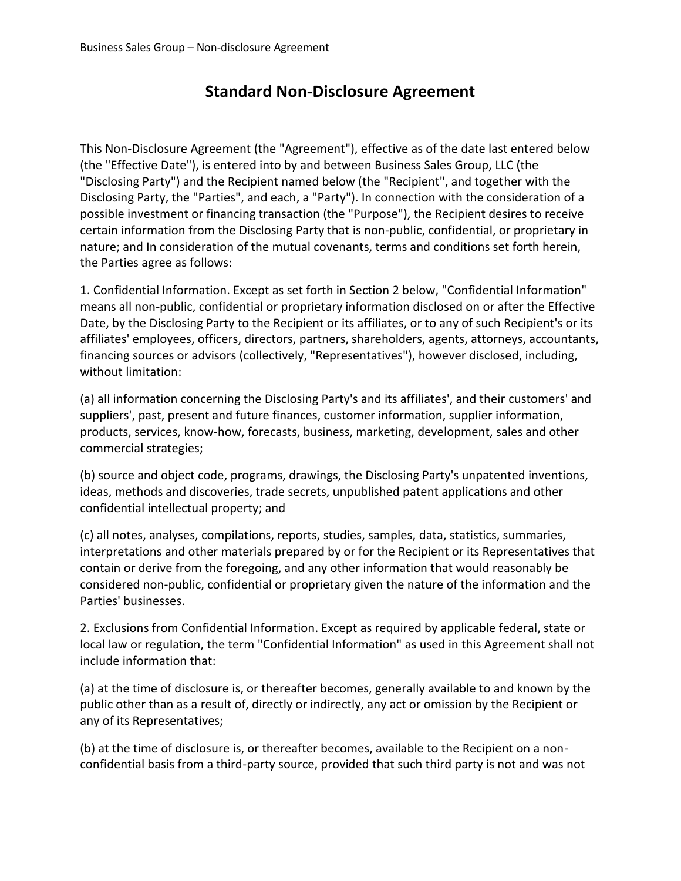## **Standard Non-Disclosure Agreement**

This Non-Disclosure Agreement (the "Agreement"), effective as of the date last entered below (the "Effective Date"), is entered into by and between Business Sales Group, LLC (the "Disclosing Party") and the Recipient named below (the "Recipient", and together with the Disclosing Party, the "Parties", and each, a "Party"). In connection with the consideration of a possible investment or financing transaction (the "Purpose"), the Recipient desires to receive certain information from the Disclosing Party that is non-public, confidential, or proprietary in nature; and In consideration of the mutual covenants, terms and conditions set forth herein, the Parties agree as follows:

1. Confidential Information. Except as set forth in Section 2 below, "Confidential Information" means all non-public, confidential or proprietary information disclosed on or after the Effective Date, by the Disclosing Party to the Recipient or its affiliates, or to any of such Recipient's or its affiliates' employees, officers, directors, partners, shareholders, agents, attorneys, accountants, financing sources or advisors (collectively, "Representatives"), however disclosed, including, without limitation:

(a) all information concerning the Disclosing Party's and its affiliates', and their customers' and suppliers', past, present and future finances, customer information, supplier information, products, services, know-how, forecasts, business, marketing, development, sales and other commercial strategies;

(b) source and object code, programs, drawings, the Disclosing Party's unpatented inventions, ideas, methods and discoveries, trade secrets, unpublished patent applications and other confidential intellectual property; and

(c) all notes, analyses, compilations, reports, studies, samples, data, statistics, summaries, interpretations and other materials prepared by or for the Recipient or its Representatives that contain or derive from the foregoing, and any other information that would reasonably be considered non-public, confidential or proprietary given the nature of the information and the Parties' businesses.

2. Exclusions from Confidential Information. Except as required by applicable federal, state or local law or regulation, the term "Confidential Information" as used in this Agreement shall not include information that:

(a) at the time of disclosure is, or thereafter becomes, generally available to and known by the public other than as a result of, directly or indirectly, any act or omission by the Recipient or any of its Representatives;

(b) at the time of disclosure is, or thereafter becomes, available to the Recipient on a nonconfidential basis from a third-party source, provided that such third party is not and was not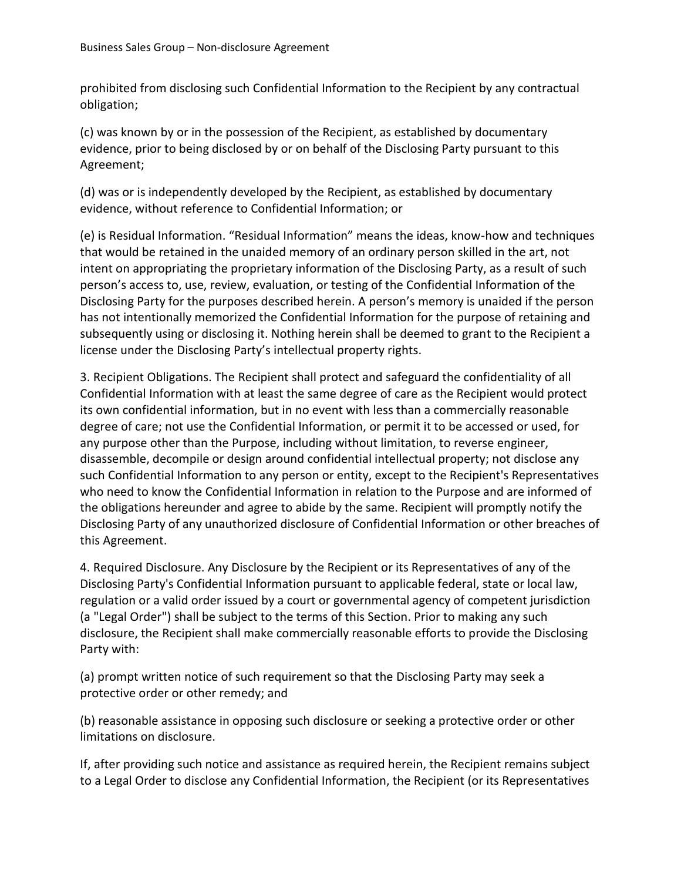prohibited from disclosing such Confidential Information to the Recipient by any contractual obligation;

(c) was known by or in the possession of the Recipient, as established by documentary evidence, prior to being disclosed by or on behalf of the Disclosing Party pursuant to this Agreement;

(d) was or is independently developed by the Recipient, as established by documentary evidence, without reference to Confidential Information; or

(e) is Residual Information. "Residual Information" means the ideas, know-how and techniques that would be retained in the unaided memory of an ordinary person skilled in the art, not intent on appropriating the proprietary information of the Disclosing Party, as a result of such person's access to, use, review, evaluation, or testing of the Confidential Information of the Disclosing Party for the purposes described herein. A person's memory is unaided if the person has not intentionally memorized the Confidential Information for the purpose of retaining and subsequently using or disclosing it. Nothing herein shall be deemed to grant to the Recipient a license under the Disclosing Party's intellectual property rights.

3. Recipient Obligations. The Recipient shall protect and safeguard the confidentiality of all Confidential Information with at least the same degree of care as the Recipient would protect its own confidential information, but in no event with less than a commercially reasonable degree of care; not use the Confidential Information, or permit it to be accessed or used, for any purpose other than the Purpose, including without limitation, to reverse engineer, disassemble, decompile or design around confidential intellectual property; not disclose any such Confidential Information to any person or entity, except to the Recipient's Representatives who need to know the Confidential Information in relation to the Purpose and are informed of the obligations hereunder and agree to abide by the same. Recipient will promptly notify the Disclosing Party of any unauthorized disclosure of Confidential Information or other breaches of this Agreement.

4. Required Disclosure. Any Disclosure by the Recipient or its Representatives of any of the Disclosing Party's Confidential Information pursuant to applicable federal, state or local law, regulation or a valid order issued by a court or governmental agency of competent jurisdiction (a "Legal Order") shall be subject to the terms of this Section. Prior to making any such disclosure, the Recipient shall make commercially reasonable efforts to provide the Disclosing Party with:

(a) prompt written notice of such requirement so that the Disclosing Party may seek a protective order or other remedy; and

(b) reasonable assistance in opposing such disclosure or seeking a protective order or other limitations on disclosure.

If, after providing such notice and assistance as required herein, the Recipient remains subject to a Legal Order to disclose any Confidential Information, the Recipient (or its Representatives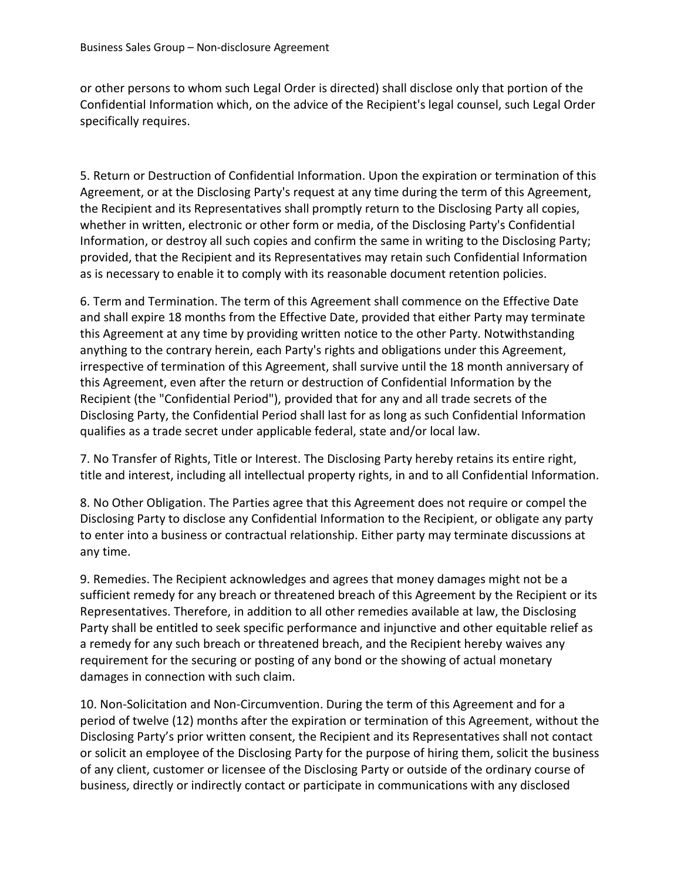or other persons to whom such Legal Order is directed) shall disclose only that portion of the Confidential Information which, on the advice of the Recipient's legal counsel, such Legal Order specifically requires.

5. Return or Destruction of Confidential Information. Upon the expiration or termination of this Agreement, or at the Disclosing Party's request at any time during the term of this Agreement, the Recipient and its Representatives shall promptly return to the Disclosing Party all copies, whether in written, electronic or other form or media, of the Disclosing Party's Confidential Information, or destroy all such copies and confirm the same in writing to the Disclosing Party; provided, that the Recipient and its Representatives may retain such Confidential Information as is necessary to enable it to comply with its reasonable document retention policies.

6. Term and Termination. The term of this Agreement shall commence on the Effective Date and shall expire 18 months from the Effective Date, provided that either Party may terminate this Agreement at any time by providing written notice to the other Party. Notwithstanding anything to the contrary herein, each Party's rights and obligations under this Agreement, irrespective of termination of this Agreement, shall survive until the 18 month anniversary of this Agreement, even after the return or destruction of Confidential Information by the Recipient (the "Confidential Period"), provided that for any and all trade secrets of the Disclosing Party, the Confidential Period shall last for as long as such Confidential Information qualifies as a trade secret under applicable federal, state and/or local law.

7. No Transfer of Rights, Title or Interest. The Disclosing Party hereby retains its entire right, title and interest, including all intellectual property rights, in and to all Confidential Information.

8. No Other Obligation. The Parties agree that this Agreement does not require or compel the Disclosing Party to disclose any Confidential Information to the Recipient, or obligate any party to enter into a business or contractual relationship. Either party may terminate discussions at any time.

9. Remedies. The Recipient acknowledges and agrees that money damages might not be a sufficient remedy for any breach or threatened breach of this Agreement by the Recipient or its Representatives. Therefore, in addition to all other remedies available at law, the Disclosing Party shall be entitled to seek specific performance and injunctive and other equitable relief as a remedy for any such breach or threatened breach, and the Recipient hereby waives any requirement for the securing or posting of any bond or the showing of actual monetary damages in connection with such claim.

10. Non-Solicitation and Non-Circumvention. During the term of this Agreement and for a period of twelve (12) months after the expiration or termination of this Agreement, without the Disclosing Party's prior written consent, the Recipient and its Representatives shall not contact or solicit an employee of the Disclosing Party for the purpose of hiring them, solicit the business of any client, customer or licensee of the Disclosing Party or outside of the ordinary course of business, directly or indirectly contact or participate in communications with any disclosed